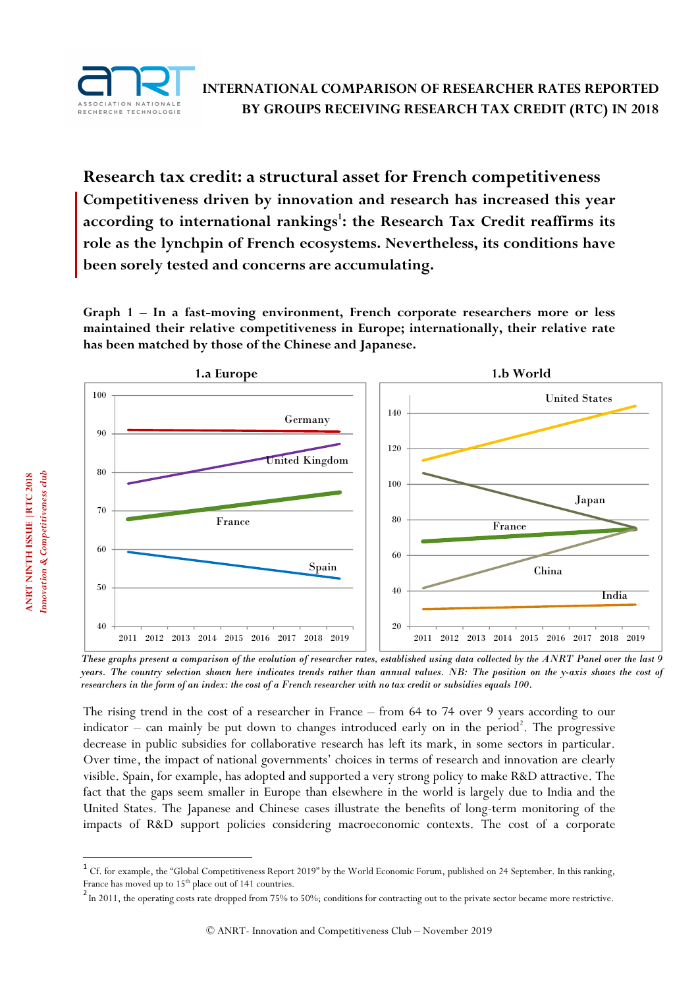

**Research tax credit: a structural asset for French competitiveness Competitiveness driven by innovation and research has increased this year according to international rankings<sup>1</sup> : the Research Tax Credit reaffirms its role as the lynchpin of French ecosystems. Nevertheless, its conditions have been sorely tested and concerns are accumulating.** 

**Graph 1 – In a fast-moving environment, French corporate researchers more or less maintained their relative competitiveness in Europe; internationally, their relative rate has been matched by those of the Chinese and Japanese.** 



*These graphs present a comparison of the evolution of researcher rates, established using data collected by the ANRT Panel over the last 9 years. The country selection shown here indicates trends rather than annual values. NB: The position on the y-axis shows the cost of researchers in the form of an index: the cost of a French researcher with no tax credit or subsidies equals 100.* 

The rising trend in the cost of a researcher in France – from 64 to 74 over 9 years according to our indicator – can mainly be put down to changes introduced early on in the period<sup>2</sup>. The progressive decrease in public subsidies for collaborative research has left its mark, in some sectors in particular. Over time, the impact of national governments' choices in terms of research and innovation are clearly visible. Spain, for example, has adopted and supported a very strong policy to make R&D attractive. The fact that the gaps seem smaller in Europe than elsewhere in the world is largely due to India and the United States. The Japanese and Chinese cases illustrate the benefits of long-term monitoring of the impacts of R&D support policies considering macroeconomic contexts. The cost of a corporate

l

 $^1$  Cf. for example, the "Global Competitiveness Report 2019" by the World Economic Forum, published on 24 September. In this ranking, France has moved up to 15<sup>th</sup> place out of 141 countries.

 $2 \text{ In 2011, the operating costs rate dropped from 75% to 50%; conditions for contracting out to the private sector became more restrictive.}$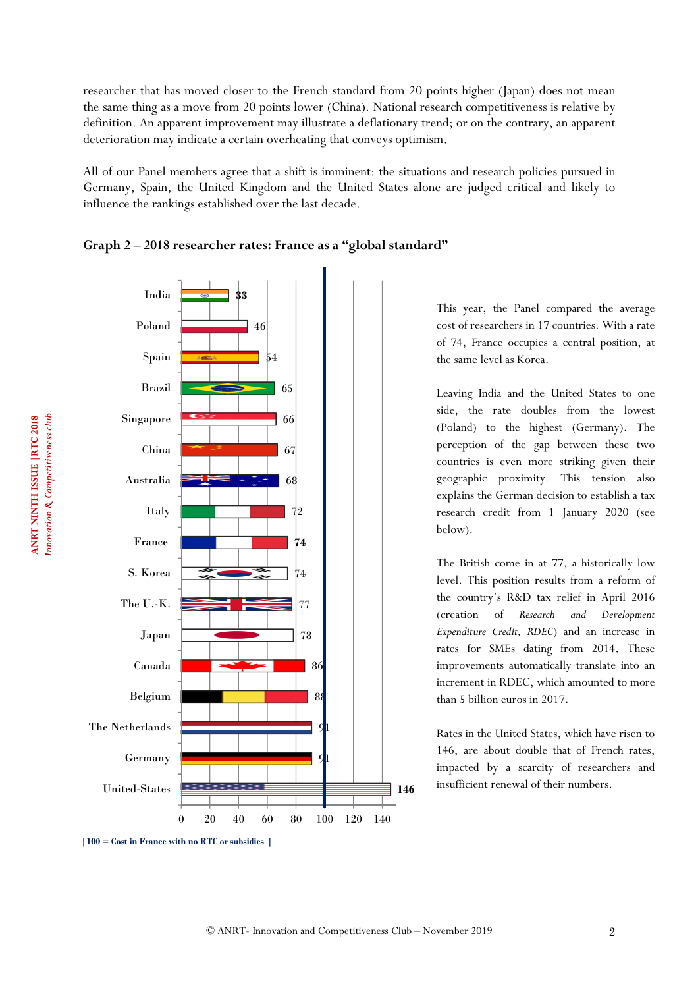researcher that has moved closer to the French standard from 20 points higher (Japan) does not mean the same thing as a move from 20 points lower (China). National research competitiveness is relative by definition. An apparent improvement may illustrate a deflationary trend; or on the contrary, an apparent deterioration may indicate a certain overheating that conveys optimism.

All of our Panel members agree that a shift is imminent: the situations and research policies pursued in Germany, Spain, the United Kingdom and the United States alone are judged critical and likely to influence the rankings established over the last decade.





This year, the Panel compared the average cost of researchers in 17 countries. With a rate of 74, France occupies a central position, at the same level as Korea.

Leaving India and the United States to one side, the rate doubles from the lowest (Poland) to the highest (Germany). The perception of the gap between these two countries is even more striking given their geographic proximity. This tension also explains the German decision to establish a tax research credit from 1 January 2020 (see below).

The British come in at 77, a historically low level. This position results from a reform of the country's R&D tax relief in April 2016 (creation of *Research and Development Expenditure Credit, RDEC*) and an increase in rates for SMEs dating from 2014. These improvements automatically translate into an increment in RDEC, which amounted to more than 5 billion euros in 2017.

Rates in the United States, which have risen to 146, are about double that of French rates, impacted by a scarcity of researchers and insufficient renewal of their numbers.

**<sup>|100 =</sup> Cost in France with no RTC or subsidies |**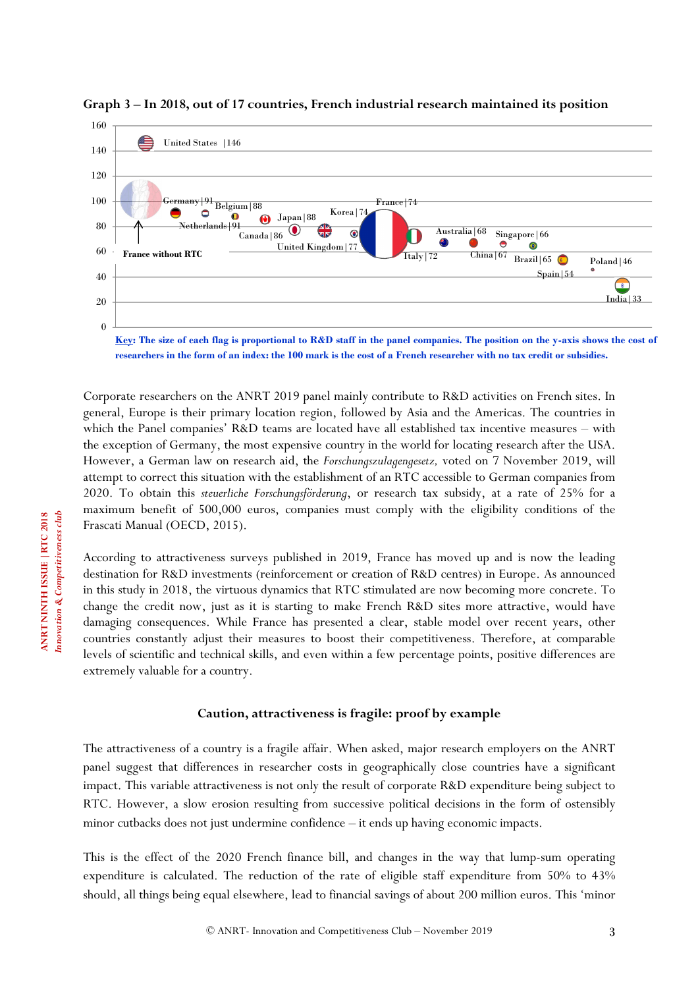

**Graph 3 – In 2018, out of 17 countries, French industrial research maintained its position** 

**Key: The size of each flag is proportional to R&D staff in the panel companies. The position on the y-axis shows the cost of researchers in the form of an index: the 100 mark is the cost of a French researcher with no tax credit or subsidies.** 

Corporate researchers on the ANRT 2019 panel mainly contribute to R&D activities on French sites. In general, Europe is their primary location region, followed by Asia and the Americas. The countries in which the Panel companies' R&D teams are located have all established tax incentive measures – with the exception of Germany, the most expensive country in the world for locating research after the USA. However, a German law on research aid, the *Forschungszulagengesetz,* voted on 7 November 2019, will attempt to correct this situation with the establishment of an RTC accessible to German companies from 2020. To obtain this *steuerliche Forschungsförderung*, or research tax subsidy, at a rate of 25% for a maximum benefit of 500,000 euros, companies must comply with the eligibility conditions of the Frascati Manual (OECD, 2015).

According to attractiveness surveys published in 2019, France has moved up and is now the leading destination for R&D investments (reinforcement or creation of R&D centres) in Europe. As announced in this study in 2018, the virtuous dynamics that RTC stimulated are now becoming more concrete. To change the credit now, just as it is starting to make French R&D sites more attractive, would have damaging consequences. While France has presented a clear, stable model over recent years, other countries constantly adjust their measures to boost their competitiveness. Therefore, at comparable levels of scientific and technical skills, and even within a few percentage points, positive differences are extremely valuable for a country.

## **Caution, attractiveness is fragile: proof by example**

The attractiveness of a country is a fragile affair. When asked, major research employers on the ANRT panel suggest that differences in researcher costs in geographically close countries have a significant impact. This variable attractiveness is not only the result of corporate R&D expenditure being subject to RTC. However, a slow erosion resulting from successive political decisions in the form of ostensibly minor cutbacks does not just undermine confidence – it ends up having economic impacts.

This is the effect of the 2020 French finance bill, and changes in the way that lump-sum operating expenditure is calculated. The reduction of the rate of eligible staff expenditure from 50% to 43% should, all things being equal elsewhere, lead to financial savings of about 200 million euros. This 'minor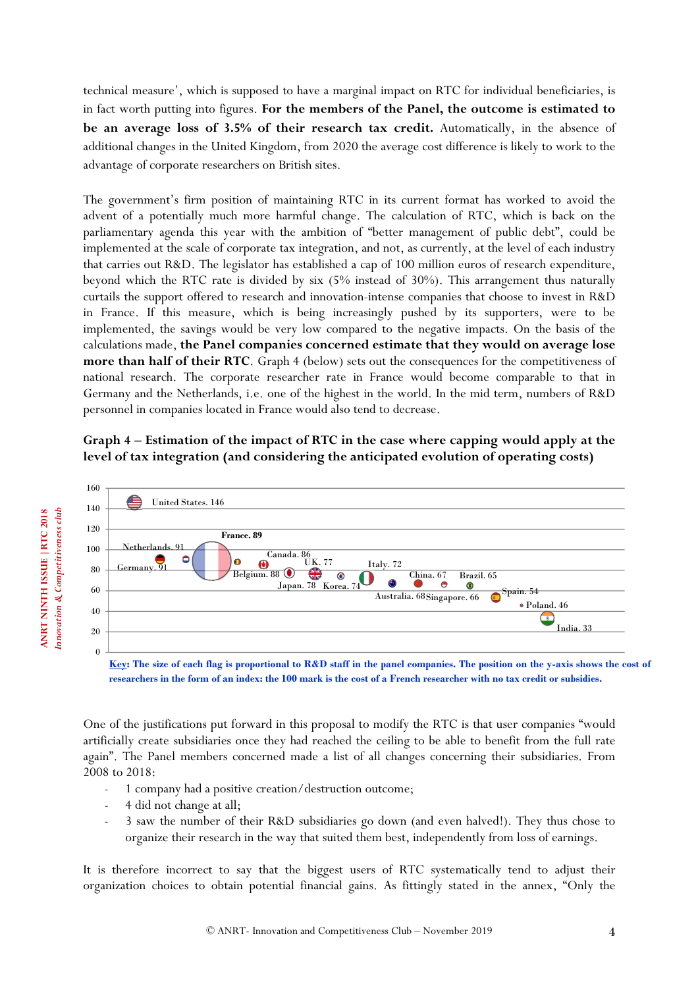technical measure', which is supposed to have a marginal impact on RTC for individual beneficiaries, is in fact worth putting into figures. **For the members of the Panel, the outcome is estimated to be an average loss of 3.5% of their research tax credit.** Automatically, in the absence of additional changes in the United Kingdom, from 2020 the average cost difference is likely to work to the advantage of corporate researchers on British sites.

The government's firm position of maintaining RTC in its current format has worked to avoid the advent of a potentially much more harmful change. The calculation of RTC, which is back on the parliamentary agenda this year with the ambition of "better management of public debt", could be implemented at the scale of corporate tax integration, and not, as currently, at the level of each industry that carries out R&D. The legislator has established a cap of 100 million euros of research expenditure, beyond which the RTC rate is divided by six (5% instead of 30%). This arrangement thus naturally curtails the support offered to research and innovation-intense companies that choose to invest in R&D in France. If this measure, which is being increasingly pushed by its supporters, were to be implemented, the savings would be very low compared to the negative impacts. On the basis of the calculations made, **the Panel companies concerned estimate that they would on average lose more than half of their RTC**. Graph 4 (below) sets out the consequences for the competitiveness of national research. The corporate researcher rate in France would become comparable to that in Germany and the Netherlands, i.e. one of the highest in the world. In the mid term, numbers of R&D personnel in companies located in France would also tend to decrease.

# **Graph 4 – Estimation of the impact of RTC in the case where capping would apply at the level of tax integration (and considering the anticipated evolution of operating costs)**



**Key: The size of each flag is proportional to R&D staff in the panel companies. The position on the y-axis shows the cost of researchers in the form of an index: the 100 mark is the cost of a French researcher with no tax credit or subsidies.** 

One of the justifications put forward in this proposal to modify the RTC is that user companies "would artificially create subsidiaries once they had reached the ceiling to be able to benefit from the full rate again". The Panel members concerned made a list of all changes concerning their subsidiaries. From 2008 to 2018:

- 1 company had a positive creation/destruction outcome;
- 4 did not change at all;
- 3 saw the number of their R&D subsidiaries go down (and even halved!). They thus chose to organize their research in the way that suited them best, independently from loss of earnings.

It is therefore incorrect to say that the biggest users of RTC systematically tend to adjust their organization choices to obtain potential financial gains. As fittingly stated in the annex, "Only the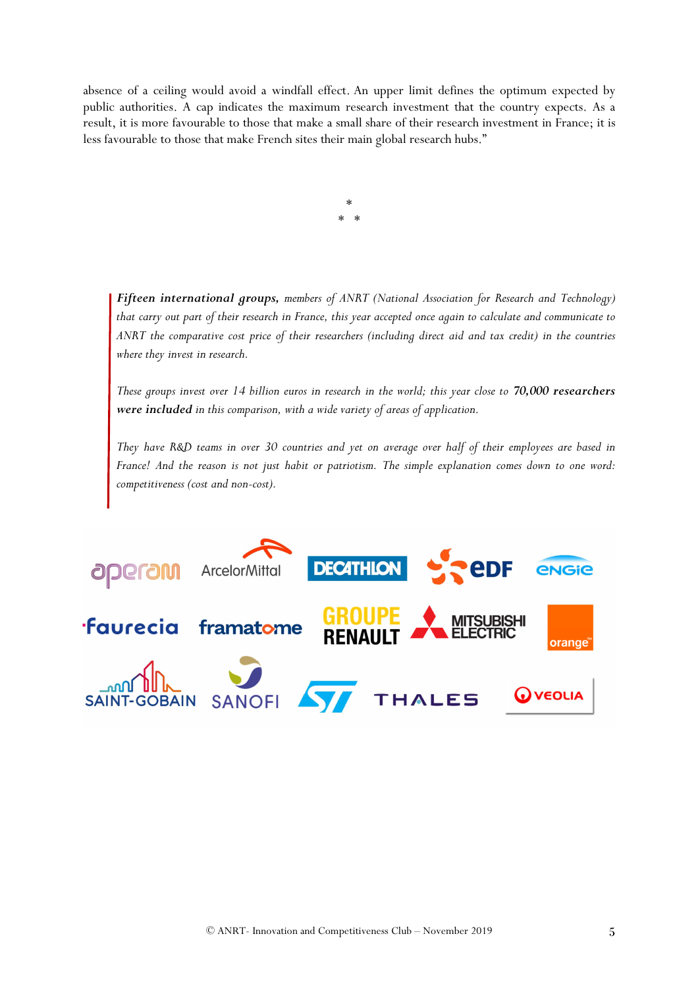absence of a ceiling would avoid a windfall effect. An upper limit defines the optimum expected by public authorities. A cap indicates the maximum research investment that the country expects. As a result, it is more favourable to those that make a small share of their research investment in France; it is less favourable to those that make French sites their main global research hubs."

> \* \* \*

*Fifteen international groups, members of ANRT (National Association for Research and Technology) that carry out part of their research in France, this year accepted once again to calculate and communicate to ANRT the comparative cost price of their researchers (including direct aid and tax credit) in the countries where they invest in research.* 

*These groups invest over 14 billion euros in research in the world; this year close to 70,000 researchers were included in this comparison, with a wide variety of areas of application.* 

*They have R&D teams in over 30 countries and yet on average over half of their employees are based in France! And the reason is not just habit or patriotism. The simple explanation comes down to one word: competitiveness (cost and non-cost).*